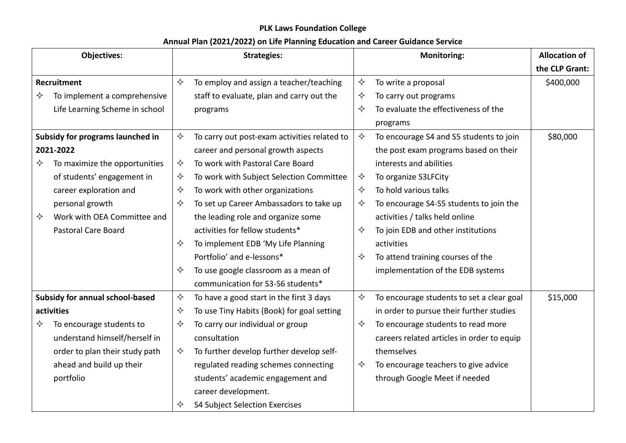## **PLK Laws Foundation College**

## **Annual Plan (2021/2022) on Life Planning Education and Career Guidance Service**

| <b>Objectives:</b>               |                                 | <b>Strategies:</b> |                                              |                   | <b>Monitoring:</b>                         | <b>Allocation of</b> |
|----------------------------------|---------------------------------|--------------------|----------------------------------------------|-------------------|--------------------------------------------|----------------------|
|                                  |                                 |                    |                                              |                   |                                            | the CLP Grant:       |
| Recruitment                      |                                 | $\leftrightarrow$  | To employ and assign a teacher/teaching      | ✧                 | To write a proposal                        | \$400,000            |
| ✧                                | To implement a comprehensive    |                    | staff to evaluate, plan and carry out the    | ✧                 | To carry out programs                      |                      |
|                                  | Life Learning Scheme in school  |                    | programs                                     | $\Leftrightarrow$ | To evaluate the effectiveness of the       |                      |
|                                  |                                 |                    |                                              |                   | programs                                   |                      |
| Subsidy for programs launched in |                                 | ✧                  | To carry out post-exam activities related to | $\Leftrightarrow$ | To encourage S4 and S5 students to join    | \$80,000             |
| 2021-2022                        |                                 |                    | career and personal growth aspects           |                   | the post exam programs based on their      |                      |
| ✧                                | To maximize the opportunities   | ✧                  | To work with Pastoral Care Board             |                   | interests and abilities                    |                      |
|                                  | of students' engagement in      | ✧                  | To work with Subject Selection Committee     | ✧                 | To organize S3LFCity                       |                      |
|                                  | career exploration and          | ✧                  | To work with other organizations             | ✧                 | To hold various talks                      |                      |
|                                  | personal growth                 | ✧                  | To set up Career Ambassadors to take up      | ✧                 | To encourage S4-S5 students to join the    |                      |
| ✧                                | Work with OEA Committee and     |                    | the leading role and organize some           |                   | activities / talks held online             |                      |
|                                  | Pastoral Care Board             |                    | activities for fellow students*              | ✧                 | To join EDB and other institutions         |                      |
|                                  |                                 | ✧                  | To implement EDB 'My Life Planning           |                   | activities                                 |                      |
|                                  |                                 |                    | Portfolio' and e-lessons*                    | $\Leftrightarrow$ | To attend training courses of the          |                      |
|                                  |                                 | ✧                  | To use google classroom as a mean of         |                   | implementation of the EDB systems          |                      |
|                                  |                                 |                    | communication for S3-S6 students*            |                   |                                            |                      |
|                                  | Subsidy for annual school-based | ✧                  | To have a good start in the first 3 days     | $\Leftrightarrow$ | To encourage students to set a clear goal  | \$15,000             |
| activities                       |                                 | ✧                  | To use Tiny Habits (Book) for goal setting   |                   | in order to pursue their further studies   |                      |
| ✧                                | To encourage students to        | ✧                  | To carry our individual or group             | ✧                 | To encourage students to read more         |                      |
|                                  | understand himself/herself in   |                    | consultation                                 |                   | careers related articles in order to equip |                      |
|                                  | order to plan their study path  | ✧                  | To further develop further develop self-     |                   | themselves                                 |                      |
|                                  | ahead and build up their        |                    | regulated reading schemes connecting         | ✧                 | To encourage teachers to give advice       |                      |
|                                  | portfolio                       |                    | students' academic engagement and            |                   | through Google Meet if needed              |                      |
|                                  |                                 |                    | career development.                          |                   |                                            |                      |
|                                  |                                 | ✧                  | S4 Subject Selection Exercises               |                   |                                            |                      |